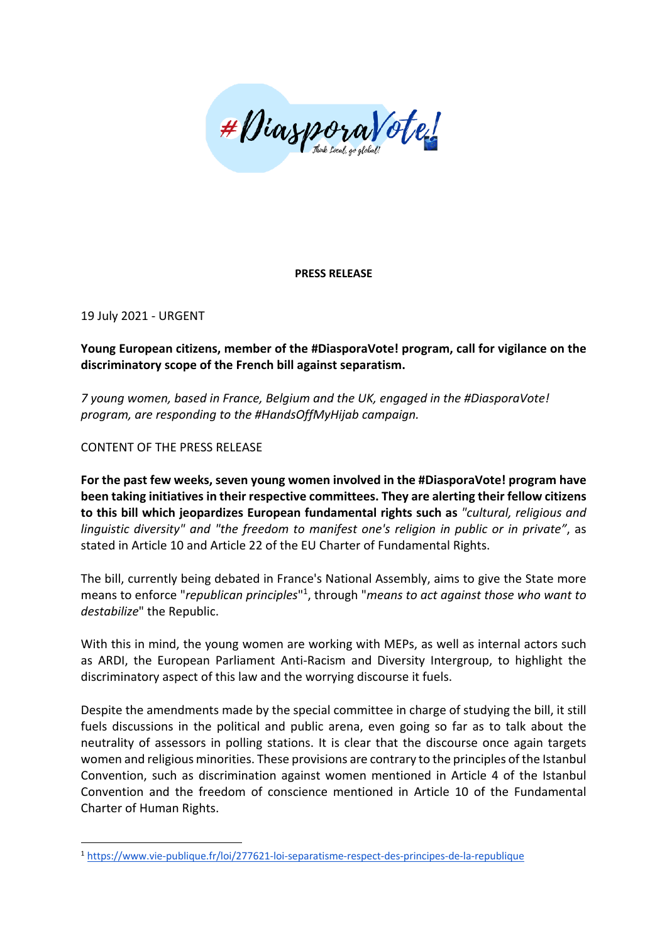

## **PRESS RELEASE**

19 July 2021 - URGENT

## **Young European citizens, member of the #DiasporaVote! program, call for vigilance on the discriminatory scope of the French bill against separatism.**

*7 young women, based in France, Belgium and the UK, engaged in the #DiasporaVote! program, are responding to the #HandsOffMyHijab campaign.*

CONTENT OF THE PRESS RELEASE

**For the past few weeks, seven young women involved in the #DiasporaVote! program have been taking initiatives in their respective committees. They are alerting their fellow citizens to this bill which jeopardizes European fundamental rights such as** *"cultural, religious and linguistic diversity" and "the freedom to manifest one's religion in public or in private"*, as stated in Article 10 and Article 22 of the EU Charter of Fundamental Rights.

The bill, currently being debated in France's National Assembly, aims to give the State more means to enforce "*republican principles*"1, through "*means to act against those who want to destabilize*" the Republic.

With this in mind, the young women are working with MEPs, as well as internal actors such as ARDI, the European Parliament Anti-Racism and Diversity Intergroup, to highlight the discriminatory aspect of this law and the worrying discourse it fuels.

Despite the amendments made by the special committee in charge of studying the bill, it still fuels discussions in the political and public arena, even going so far as to talk about the neutrality of assessors in polling stations. It is clear that the discourse once again targets women and religious minorities. These provisions are contrary to the principles of the Istanbul Convention, such as discrimination against women mentioned in Article 4 of the Istanbul Convention and the freedom of conscience mentioned in Article 10 of the Fundamental Charter of Human Rights.

<sup>1</sup> https://www.vie-publique.fr/loi/277621-loi-separatisme-respect-des-principes-de-la-republique